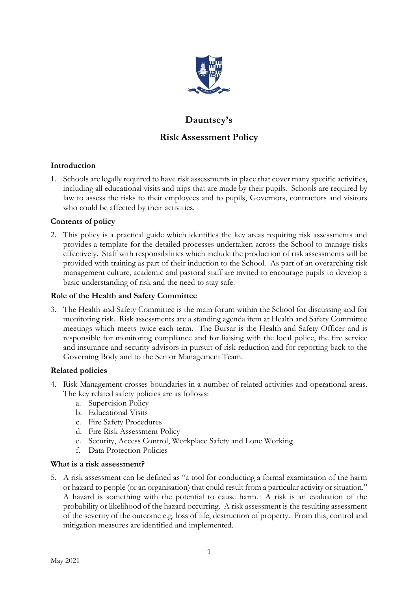

# **Dauntsey's Risk Assessment Policy**

# **Introduction**

1. Schools are legally required to have risk assessments in place that cover many specific activities, including all educational visits and trips that are made by their pupils. Schools are required by law to assess the risks to their employees and to pupils, Governors, contractors and visitors who could be affected by their activities.

## **Contents of policy**

2. This policy is a practical guide which identifies the key areas requiring risk assessments and provides a template for the detailed processes undertaken across the School to manage risks effectively. Staff with responsibilities which include the production of risk assessments will be provided with training as part of their induction to the School. As part of an overarching risk management culture, academic and pastoral staff are invited to encourage pupils to develop a basic understanding of risk and the need to stay safe.

## **Role of the Health and Safety Committee**

3. The Health and Safety Committee is the main forum within the School for discussing and for monitoring risk. Risk assessments are a standing agenda item at Health and Safety Committee meetings which meets twice each term. The Bursar is the Health and Safety Officer and is responsible for monitoring compliance and for liaising with the local police, the fire service and insurance and security advisors in pursuit of risk reduction and for reporting back to the Governing Body and to the Senior Management Team.

## **Related policies**

- 4. Risk Management crosses boundaries in a number of related activities and operational areas. The key related safety policies are as follows:
	- a. Supervision Policy
	- b. Educational Visits
	- c. Fire Safety Procedures
	- d. Fire Risk Assessment Policy
	- e. Security, Access Control, Workplace Safety and Lone Working
	- f. Data Protection Policies

## **What is a risk assessment?**

5. A risk assessment can be defined as "a tool for conducting a formal examination of the harm or hazard to people (or an organisation) that could result from a particular activity or situation." A hazard is something with the potential to cause harm. A risk is an evaluation of the probability or likelihood of the hazard occurring. A risk assessment is the resulting assessment of the severity of the outcome e.g. loss of life, destruction of property. From this, control and mitigation measures are identified and implemented.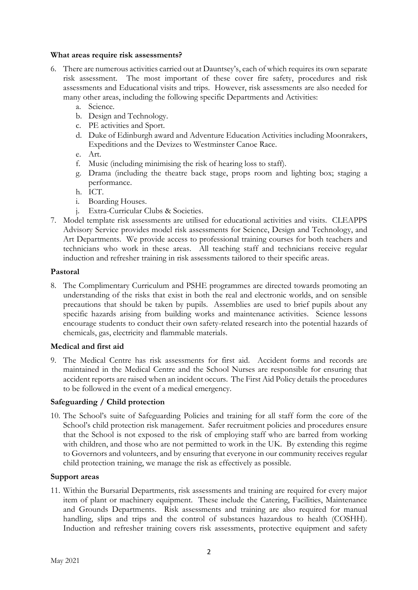## **What areas require risk assessments?**

- 6. There are numerous activities carried out at Dauntsey's, each of which requires its own separate risk assessment. The most important of these cover fire safety, procedures and risk assessments and Educational visits and trips. However, risk assessments are also needed for many other areas, including the following specific Departments and Activities:
	- a. Science.
	- b. Design and Technology.
	- c. PE activities and Sport.
	- d. Duke of Edinburgh award and Adventure Education Activities including Moonrakers, Expeditions and the Devizes to Westminster Canoe Race.
	- e. Art.
	- f. Music (including minimising the risk of hearing loss to staff).
	- g. Drama (including the theatre back stage, props room and lighting box; staging a performance.
	- h. ICT.
	- i. Boarding Houses.
	- j. Extra-Curricular Clubs & Societies.
- 7. Model template risk assessments are utilised for educational activities and visits. CLEAPPS Advisory Service provides model risk assessments for Science, Design and Technology, and Art Departments. We provide access to professional training courses for both teachers and technicians who work in these areas. All teaching staff and technicians receive regular induction and refresher training in risk assessments tailored to their specific areas.

## **Pastoral**

8. The Complimentary Curriculum and PSHE programmes are directed towards promoting an understanding of the risks that exist in both the real and electronic worlds, and on sensible precautions that should be taken by pupils. Assemblies are used to brief pupils about any specific hazards arising from building works and maintenance activities. Science lessons encourage students to conduct their own safety-related research into the potential hazards of chemicals, gas, electricity and flammable materials.

## **Medical and first aid**

9. The Medical Centre has risk assessments for first aid. Accident forms and records are maintained in the Medical Centre and the School Nurses are responsible for ensuring that accident reports are raised when an incident occurs. The First Aid Policy details the procedures to be followed in the event of a medical emergency.

## **Safeguarding / Child protection**

10. The School's suite of Safeguarding Policies and training for all staff form the core of the School's child protection risk management. Safer recruitment policies and procedures ensure that the School is not exposed to the risk of employing staff who are barred from working with children, and those who are not permitted to work in the UK. By extending this regime to Governors and volunteers, and by ensuring that everyone in our community receives regular child protection training, we manage the risk as effectively as possible.

## **Support areas**

11. Within the Bursarial Departments, risk assessments and training are required for every major item of plant or machinery equipment. These include the Catering, Facilities, Maintenance and Grounds Departments. Risk assessments and training are also required for manual handling, slips and trips and the control of substances hazardous to health (COSHH). Induction and refresher training covers risk assessments, protective equipment and safety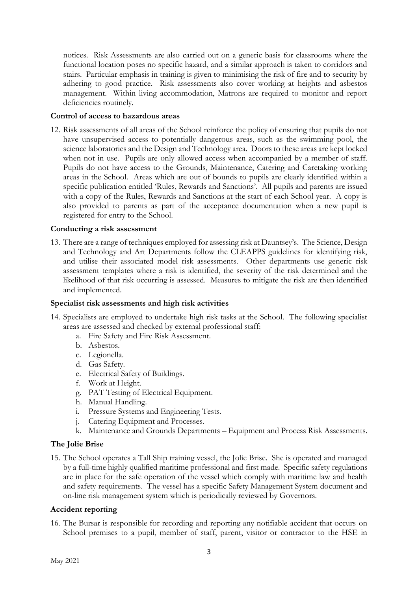notices. Risk Assessments are also carried out on a generic basis for classrooms where the functional location poses no specific hazard, and a similar approach is taken to corridors and stairs. Particular emphasis in training is given to minimising the risk of fire and to security by adhering to good practice. Risk assessments also cover working at heights and asbestos management. Within living accommodation, Matrons are required to monitor and report deficiencies routinely.

## **Control of access to hazardous areas**

12. Risk assessments of all areas of the School reinforce the policy of ensuring that pupils do not have unsupervised access to potentially dangerous areas, such as the swimming pool, the science laboratories and the Design and Technology area. Doors to these areas are kept locked when not in use. Pupils are only allowed access when accompanied by a member of staff. Pupils do not have access to the Grounds, Maintenance, Catering and Caretaking working areas in the School. Areas which are out of bounds to pupils are clearly identified within a specific publication entitled 'Rules, Rewards and Sanctions'. All pupils and parents are issued with a copy of the Rules, Rewards and Sanctions at the start of each School year. A copy is also provided to parents as part of the acceptance documentation when a new pupil is registered for entry to the School.

## **Conducting a risk assessment**

13. There are a range of techniques employed for assessing risk at Dauntsey's. The Science, Design and Technology and Art Departments follow the CLEAPPS guidelines for identifying risk, and utilise their associated model risk assessments. Other departments use generic risk assessment templates where a risk is identified, the severity of the risk determined and the likelihood of that risk occurring is assessed. Measures to mitigate the risk are then identified and implemented.

#### **Specialist risk assessments and high risk activities**

- 14. Specialists are employed to undertake high risk tasks at the School. The following specialist areas are assessed and checked by external professional staff:
	- a. Fire Safety and Fire Risk Assessment.
	- b. Asbestos.
	- c. Legionella.
	- d. Gas Safety.
	- e. Electrical Safety of Buildings.
	- f. Work at Height.
	- g. PAT Testing of Electrical Equipment.
	- h. Manual Handling.
	- i. Pressure Systems and Engineering Tests.
	- j. Catering Equipment and Processes.
	- k. Maintenance and Grounds Departments Equipment and Process Risk Assessments.

## **The Jolie Brise**

15. The School operates a Tall Ship training vessel, the Jolie Brise. She is operated and managed by a full-time highly qualified maritime professional and first made. Specific safety regulations are in place for the safe operation of the vessel which comply with maritime law and health and safety requirements. The vessel has a specific Safety Management System document and on-line risk management system which is periodically reviewed by Governors.

## **Accident reporting**

16. The Bursar is responsible for recording and reporting any notifiable accident that occurs on School premises to a pupil, member of staff, parent, visitor or contractor to the HSE in